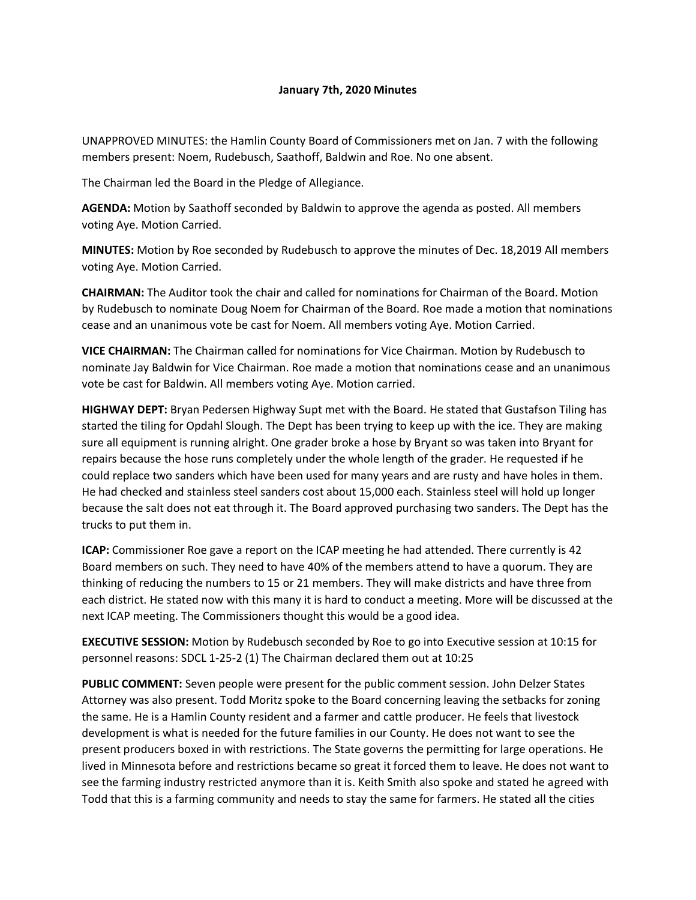## **January 7th, 2020 Minutes**

UNAPPROVED MINUTES: the Hamlin County Board of Commissioners met on Jan. 7 with the following members present: Noem, Rudebusch, Saathoff, Baldwin and Roe. No one absent.

The Chairman led the Board in the Pledge of Allegiance.

**AGENDA:** Motion by Saathoff seconded by Baldwin to approve the agenda as posted. All members voting Aye. Motion Carried.

**MINUTES:** Motion by Roe seconded by Rudebusch to approve the minutes of Dec. 18,2019 All members voting Aye. Motion Carried.

**CHAIRMAN:** The Auditor took the chair and called for nominations for Chairman of the Board. Motion by Rudebusch to nominate Doug Noem for Chairman of the Board. Roe made a motion that nominations cease and an unanimous vote be cast for Noem. All members voting Aye. Motion Carried.

**VICE CHAIRMAN:** The Chairman called for nominations for Vice Chairman. Motion by Rudebusch to nominate Jay Baldwin for Vice Chairman. Roe made a motion that nominations cease and an unanimous vote be cast for Baldwin. All members voting Aye. Motion carried.

**HIGHWAY DEPT:** Bryan Pedersen Highway Supt met with the Board. He stated that Gustafson Tiling has started the tiling for Opdahl Slough. The Dept has been trying to keep up with the ice. They are making sure all equipment is running alright. One grader broke a hose by Bryant so was taken into Bryant for repairs because the hose runs completely under the whole length of the grader. He requested if he could replace two sanders which have been used for many years and are rusty and have holes in them. He had checked and stainless steel sanders cost about 15,000 each. Stainless steel will hold up longer because the salt does not eat through it. The Board approved purchasing two sanders. The Dept has the trucks to put them in.

**ICAP:** Commissioner Roe gave a report on the ICAP meeting he had attended. There currently is 42 Board members on such. They need to have 40% of the members attend to have a quorum. They are thinking of reducing the numbers to 15 or 21 members. They will make districts and have three from each district. He stated now with this many it is hard to conduct a meeting. More will be discussed at the next ICAP meeting. The Commissioners thought this would be a good idea.

**EXECUTIVE SESSION:** Motion by Rudebusch seconded by Roe to go into Executive session at 10:15 for personnel reasons: SDCL 1-25-2 (1) The Chairman declared them out at 10:25

**PUBLIC COMMENT:** Seven people were present for the public comment session. John Delzer States Attorney was also present. Todd Moritz spoke to the Board concerning leaving the setbacks for zoning the same. He is a Hamlin County resident and a farmer and cattle producer. He feels that livestock development is what is needed for the future families in our County. He does not want to see the present producers boxed in with restrictions. The State governs the permitting for large operations. He lived in Minnesota before and restrictions became so great it forced them to leave. He does not want to see the farming industry restricted anymore than it is. Keith Smith also spoke and stated he agreed with Todd that this is a farming community and needs to stay the same for farmers. He stated all the cities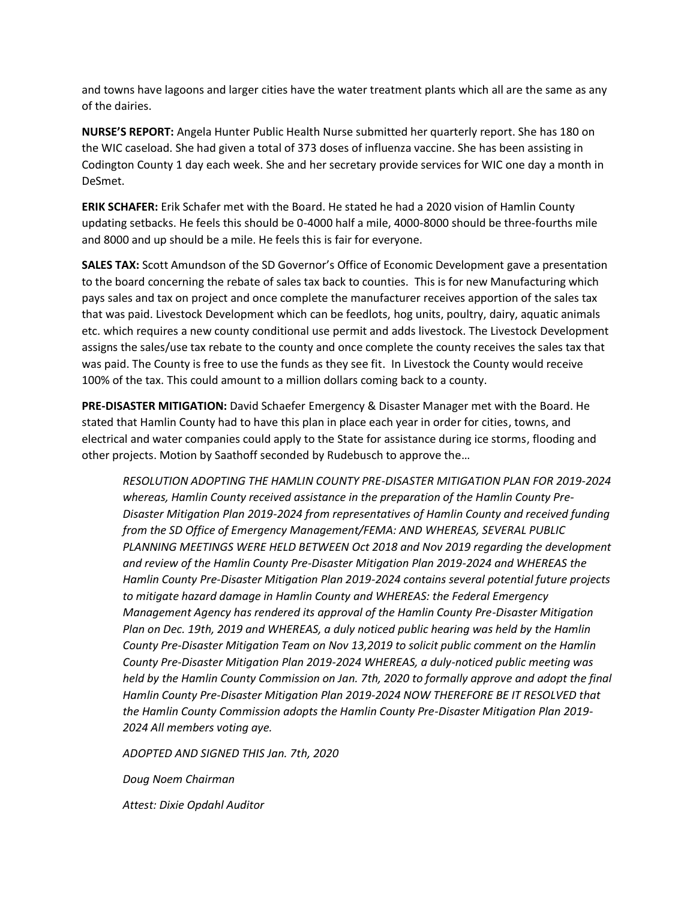and towns have lagoons and larger cities have the water treatment plants which all are the same as any of the dairies.

**NURSE'S REPORT:** Angela Hunter Public Health Nurse submitted her quarterly report. She has 180 on the WIC caseload. She had given a total of 373 doses of influenza vaccine. She has been assisting in Codington County 1 day each week. She and her secretary provide services for WIC one day a month in DeSmet.

**ERIK SCHAFER:** Erik Schafer met with the Board. He stated he had a 2020 vision of Hamlin County updating setbacks. He feels this should be 0-4000 half a mile, 4000-8000 should be three-fourths mile and 8000 and up should be a mile. He feels this is fair for everyone.

**SALES TAX:** Scott Amundson of the SD Governor's Office of Economic Development gave a presentation to the board concerning the rebate of sales tax back to counties. This is for new Manufacturing which pays sales and tax on project and once complete the manufacturer receives apportion of the sales tax that was paid. Livestock Development which can be feedlots, hog units, poultry, dairy, aquatic animals etc. which requires a new county conditional use permit and adds livestock. The Livestock Development assigns the sales/use tax rebate to the county and once complete the county receives the sales tax that was paid. The County is free to use the funds as they see fit. In Livestock the County would receive 100% of the tax. This could amount to a million dollars coming back to a county.

**PRE-DISASTER MITIGATION:** David Schaefer Emergency & Disaster Manager met with the Board. He stated that Hamlin County had to have this plan in place each year in order for cities, towns, and electrical and water companies could apply to the State for assistance during ice storms, flooding and other projects. Motion by Saathoff seconded by Rudebusch to approve the…

*RESOLUTION ADOPTING THE HAMLIN COUNTY PRE-DISASTER MITIGATION PLAN FOR 2019-2024 whereas, Hamlin County received assistance in the preparation of the Hamlin County Pre-Disaster Mitigation Plan 2019-2024 from representatives of Hamlin County and received funding from the SD Office of Emergency Management/FEMA: AND WHEREAS, SEVERAL PUBLIC PLANNING MEETINGS WERE HELD BETWEEN Oct 2018 and Nov 2019 regarding the development and review of the Hamlin County Pre-Disaster Mitigation Plan 2019-2024 and WHEREAS the Hamlin County Pre-Disaster Mitigation Plan 2019-2024 contains several potential future projects to mitigate hazard damage in Hamlin County and WHEREAS: the Federal Emergency Management Agency has rendered its approval of the Hamlin County Pre-Disaster Mitigation Plan on Dec. 19th, 2019 and WHEREAS, a duly noticed public hearing was held by the Hamlin County Pre-Disaster Mitigation Team on Nov 13,2019 to solicit public comment on the Hamlin County Pre-Disaster Mitigation Plan 2019-2024 WHEREAS, a duly-noticed public meeting was held by the Hamlin County Commission on Jan. 7th, 2020 to formally approve and adopt the final Hamlin County Pre-Disaster Mitigation Plan 2019-2024 NOW THEREFORE BE IT RESOLVED that the Hamlin County Commission adopts the Hamlin County Pre-Disaster Mitigation Plan 2019- 2024 All members voting aye.*

*ADOPTED AND SIGNED THIS Jan. 7th, 2020*

*Doug Noem Chairman*

*Attest: Dixie Opdahl Auditor*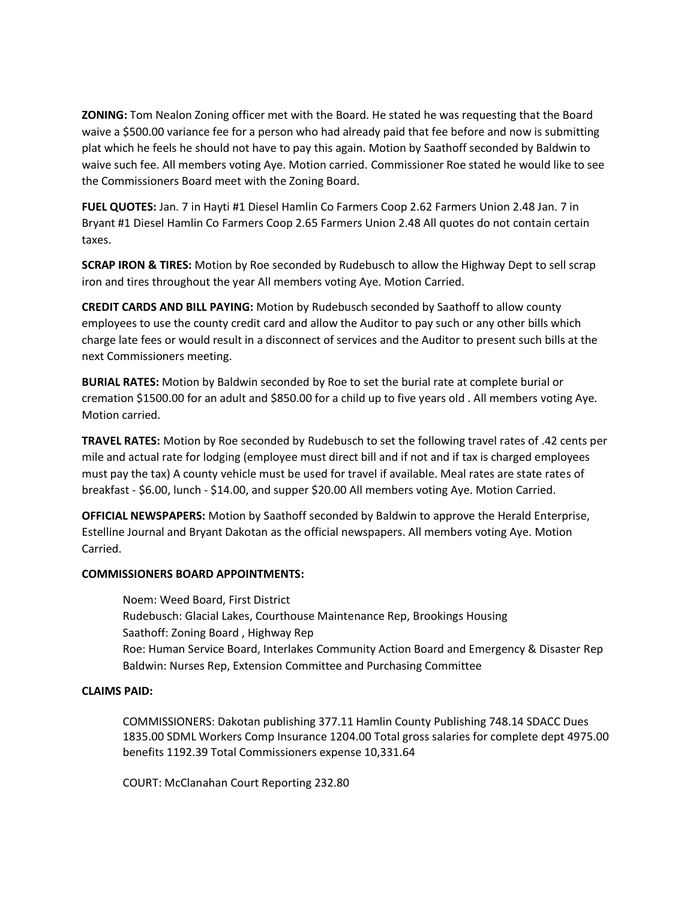**ZONING:** Tom Nealon Zoning officer met with the Board. He stated he was requesting that the Board waive a \$500.00 variance fee for a person who had already paid that fee before and now is submitting plat which he feels he should not have to pay this again. Motion by Saathoff seconded by Baldwin to waive such fee. All members voting Aye. Motion carried. Commissioner Roe stated he would like to see the Commissioners Board meet with the Zoning Board.

**FUEL QUOTES:** Jan. 7 in Hayti #1 Diesel Hamlin Co Farmers Coop 2.62 Farmers Union 2.48 Jan. 7 in Bryant #1 Diesel Hamlin Co Farmers Coop 2.65 Farmers Union 2.48 All quotes do not contain certain taxes.

**SCRAP IRON & TIRES:** Motion by Roe seconded by Rudebusch to allow the Highway Dept to sell scrap iron and tires throughout the year All members voting Aye. Motion Carried.

**CREDIT CARDS AND BILL PAYING:** Motion by Rudebusch seconded by Saathoff to allow county employees to use the county credit card and allow the Auditor to pay such or any other bills which charge late fees or would result in a disconnect of services and the Auditor to present such bills at the next Commissioners meeting.

**BURIAL RATES:** Motion by Baldwin seconded by Roe to set the burial rate at complete burial or cremation \$1500.00 for an adult and \$850.00 for a child up to five years old . All members voting Aye. Motion carried.

**TRAVEL RATES:** Motion by Roe seconded by Rudebusch to set the following travel rates of .42 cents per mile and actual rate for lodging (employee must direct bill and if not and if tax is charged employees must pay the tax) A county vehicle must be used for travel if available. Meal rates are state rates of breakfast - \$6.00, lunch - \$14.00, and supper \$20.00 All members voting Aye. Motion Carried.

**OFFICIAL NEWSPAPERS:** Motion by Saathoff seconded by Baldwin to approve the Herald Enterprise, Estelline Journal and Bryant Dakotan as the official newspapers. All members voting Aye. Motion Carried.

## **COMMISSIONERS BOARD APPOINTMENTS:**

Noem: Weed Board, First District Rudebusch: Glacial Lakes, Courthouse Maintenance Rep, Brookings Housing Saathoff: Zoning Board , Highway Rep Roe: Human Service Board, Interlakes Community Action Board and Emergency & Disaster Rep Baldwin: Nurses Rep, Extension Committee and Purchasing Committee

## **CLAIMS PAID:**

COMMISSIONERS: Dakotan publishing 377.11 Hamlin County Publishing 748.14 SDACC Dues 1835.00 SDML Workers Comp Insurance 1204.00 Total gross salaries for complete dept 4975.00 benefits 1192.39 Total Commissioners expense 10,331.64

COURT: McClanahan Court Reporting 232.80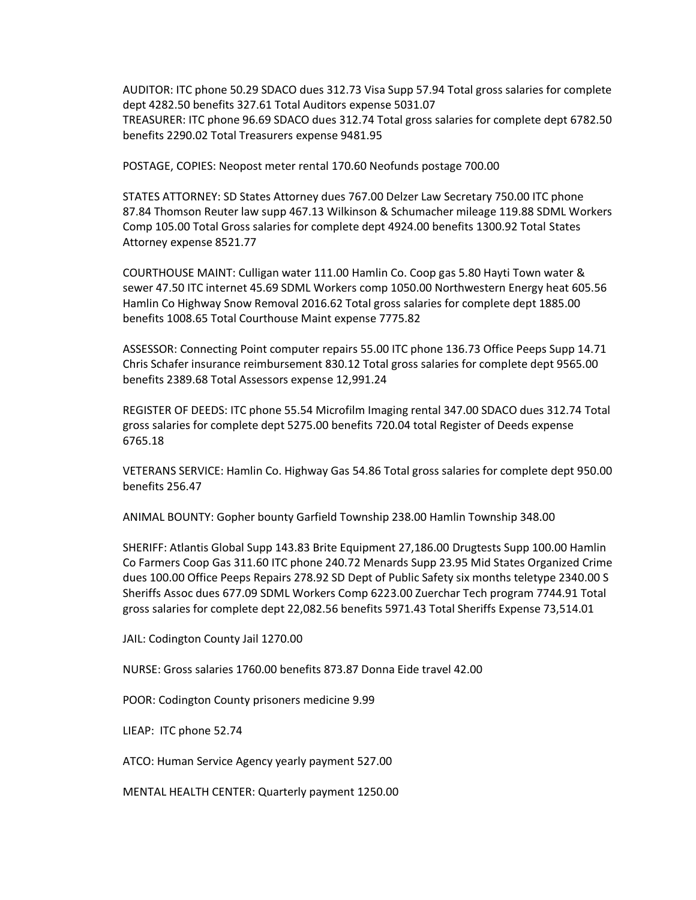AUDITOR: ITC phone 50.29 SDACO dues 312.73 Visa Supp 57.94 Total gross salaries for complete dept 4282.50 benefits 327.61 Total Auditors expense 5031.07 TREASURER: ITC phone 96.69 SDACO dues 312.74 Total gross salaries for complete dept 6782.50 benefits 2290.02 Total Treasurers expense 9481.95

POSTAGE, COPIES: Neopost meter rental 170.60 Neofunds postage 700.00

STATES ATTORNEY: SD States Attorney dues 767.00 Delzer Law Secretary 750.00 ITC phone 87.84 Thomson Reuter law supp 467.13 Wilkinson & Schumacher mileage 119.88 SDML Workers Comp 105.00 Total Gross salaries for complete dept 4924.00 benefits 1300.92 Total States Attorney expense 8521.77

COURTHOUSE MAINT: Culligan water 111.00 Hamlin Co. Coop gas 5.80 Hayti Town water & sewer 47.50 ITC internet 45.69 SDML Workers comp 1050.00 Northwestern Energy heat 605.56 Hamlin Co Highway Snow Removal 2016.62 Total gross salaries for complete dept 1885.00 benefits 1008.65 Total Courthouse Maint expense 7775.82

ASSESSOR: Connecting Point computer repairs 55.00 ITC phone 136.73 Office Peeps Supp 14.71 Chris Schafer insurance reimbursement 830.12 Total gross salaries for complete dept 9565.00 benefits 2389.68 Total Assessors expense 12,991.24

REGISTER OF DEEDS: ITC phone 55.54 Microfilm Imaging rental 347.00 SDACO dues 312.74 Total gross salaries for complete dept 5275.00 benefits 720.04 total Register of Deeds expense 6765.18

VETERANS SERVICE: Hamlin Co. Highway Gas 54.86 Total gross salaries for complete dept 950.00 benefits 256.47

ANIMAL BOUNTY: Gopher bounty Garfield Township 238.00 Hamlin Township 348.00

SHERIFF: Atlantis Global Supp 143.83 Brite Equipment 27,186.00 Drugtests Supp 100.00 Hamlin Co Farmers Coop Gas 311.60 ITC phone 240.72 Menards Supp 23.95 Mid States Organized Crime dues 100.00 Office Peeps Repairs 278.92 SD Dept of Public Safety six months teletype 2340.00 S Sheriffs Assoc dues 677.09 SDML Workers Comp 6223.00 Zuerchar Tech program 7744.91 Total gross salaries for complete dept 22,082.56 benefits 5971.43 Total Sheriffs Expense 73,514.01

JAIL: Codington County Jail 1270.00

NURSE: Gross salaries 1760.00 benefits 873.87 Donna Eide travel 42.00

POOR: Codington County prisoners medicine 9.99

LIEAP: ITC phone 52.74

ATCO: Human Service Agency yearly payment 527.00

MENTAL HEALTH CENTER: Quarterly payment 1250.00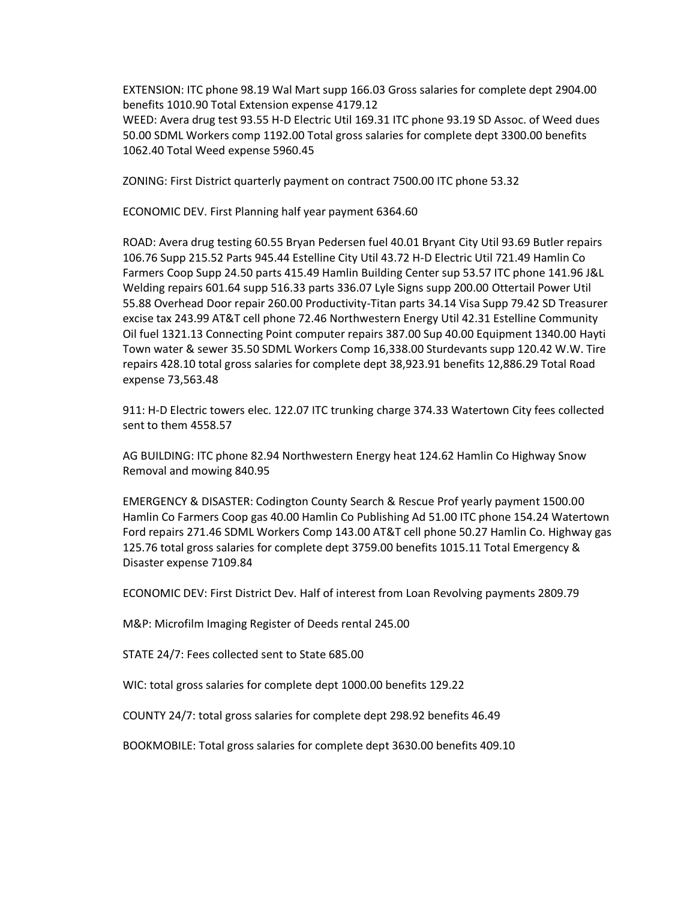EXTENSION: ITC phone 98.19 Wal Mart supp 166.03 Gross salaries for complete dept 2904.00 benefits 1010.90 Total Extension expense 4179.12 WEED: Avera drug test 93.55 H-D Electric Util 169.31 ITC phone 93.19 SD Assoc. of Weed dues 50.00 SDML Workers comp 1192.00 Total gross salaries for complete dept 3300.00 benefits 1062.40 Total Weed expense 5960.45

ZONING: First District quarterly payment on contract 7500.00 ITC phone 53.32

ECONOMIC DEV. First Planning half year payment 6364.60

ROAD: Avera drug testing 60.55 Bryan Pedersen fuel 40.01 Bryant City Util 93.69 Butler repairs 106.76 Supp 215.52 Parts 945.44 Estelline City Util 43.72 H-D Electric Util 721.49 Hamlin Co Farmers Coop Supp 24.50 parts 415.49 Hamlin Building Center sup 53.57 ITC phone 141.96 J&L Welding repairs 601.64 supp 516.33 parts 336.07 Lyle Signs supp 200.00 Ottertail Power Util 55.88 Overhead Door repair 260.00 Productivity-Titan parts 34.14 Visa Supp 79.42 SD Treasurer excise tax 243.99 AT&T cell phone 72.46 Northwestern Energy Util 42.31 Estelline Community Oil fuel 1321.13 Connecting Point computer repairs 387.00 Sup 40.00 Equipment 1340.00 Hayti Town water & sewer 35.50 SDML Workers Comp 16,338.00 Sturdevants supp 120.42 W.W. Tire repairs 428.10 total gross salaries for complete dept 38,923.91 benefits 12,886.29 Total Road expense 73,563.48

911: H-D Electric towers elec. 122.07 ITC trunking charge 374.33 Watertown City fees collected sent to them 4558.57

AG BUILDING: ITC phone 82.94 Northwestern Energy heat 124.62 Hamlin Co Highway Snow Removal and mowing 840.95

EMERGENCY & DISASTER: Codington County Search & Rescue Prof yearly payment 1500.00 Hamlin Co Farmers Coop gas 40.00 Hamlin Co Publishing Ad 51.00 ITC phone 154.24 Watertown Ford repairs 271.46 SDML Workers Comp 143.00 AT&T cell phone 50.27 Hamlin Co. Highway gas 125.76 total gross salaries for complete dept 3759.00 benefits 1015.11 Total Emergency & Disaster expense 7109.84

ECONOMIC DEV: First District Dev. Half of interest from Loan Revolving payments 2809.79

M&P: Microfilm Imaging Register of Deeds rental 245.00

STATE 24/7: Fees collected sent to State 685.00

WIC: total gross salaries for complete dept 1000.00 benefits 129.22

COUNTY 24/7: total gross salaries for complete dept 298.92 benefits 46.49

BOOKMOBILE: Total gross salaries for complete dept 3630.00 benefits 409.10